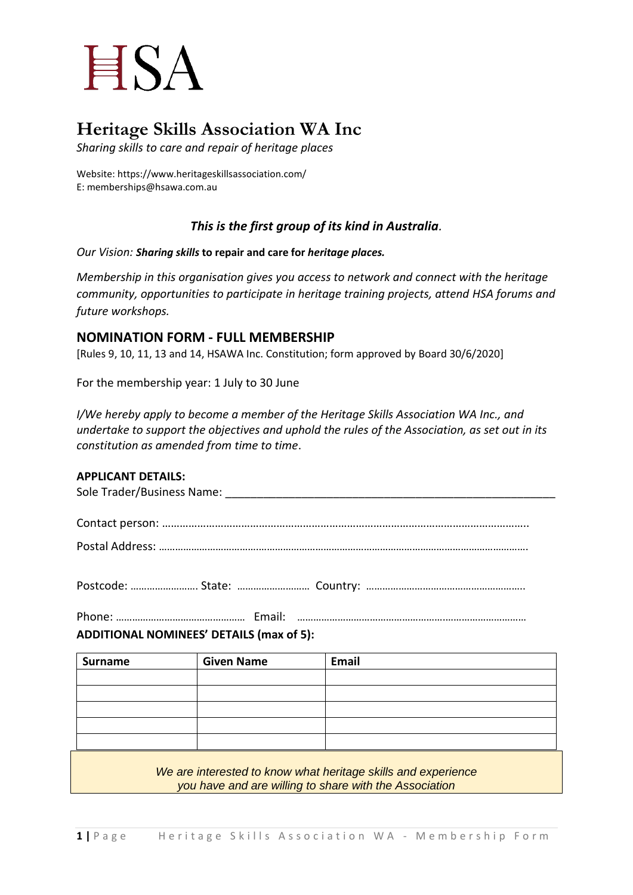## **HSA**

### **Heritage Skills Association WA Inc**

*Sharing skills to care and repair of heritage places*

Website: https://www.heritageskillsassociation.com/ E: memberships@hsawa.com.au

#### *This is the first group of its kind in Australia.*

*Our Vision: Sharing skills* **to repair and care for** *heritage places.*

*Membership in this organisation gives you access to network and connect with the heritage community, opportunities to participate in heritage training projects, attend HSA forums and future workshops.*

#### **NOMINATION FORM - FULL MEMBERSHIP**

[Rules 9, 10, 11, 13 and 14, HSAWA Inc. Constitution; form approved by Board 30/6/2020]

For the membership year: 1 July to 30 June

*I/We hereby apply to become a member of the Heritage Skills Association WA Inc., and undertake to support the objectives and uphold the rules of the Association, as set out in its constitution as amended from time to time*.

#### **APPLICANT DETAILS:**

| Sole Trader/Business Name: |  |
|----------------------------|--|
|                            |  |
|                            |  |
| .                          |  |

Postal Address: ……………………………….……………………………………………………………………………………….

Postcode: ……………………. State: ……………………… Country: …………………………………………………..

Phone: ………………………………………… Email: ……………………………………………….………………………… **ADDITIONAL NOMINEES' DETAILS (max of 5):**

# **Surname Given Name Email**

*We are interested to know what heritage skills and experience you have and are willing to share with the Association*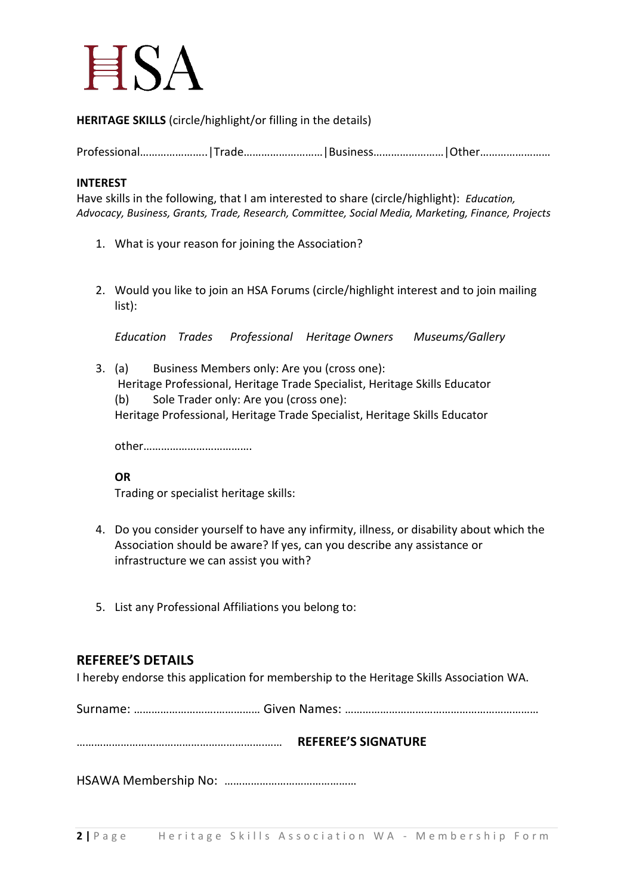## $HSA$

**HERITAGE SKILLS** (circle/highlight/or filling in the details)

Professional…………………..|Trade………………………|Business……………………|Other……………………

#### **INTEREST**

Have skills in the following, that I am interested to share (circle/highlight): *Education, Advocacy, Business, Grants, Trade, Research, Committee, Social Media, Marketing, Finance, Projects*

- 1. What is your reason for joining the Association?
- 2. Would you like to join an HSA Forums (circle/highlight interest and to join mailing list):

*Education Trades Professional Heritage Owners Museums/Gallery*

- 3. (a) Business Members only: Are you (cross one): Heritage Professional, Heritage Trade Specialist, Heritage Skills Educator
	- (b) Sole Trader only: Are you (cross one):

Heritage Professional, Heritage Trade Specialist, Heritage Skills Educator

other……………………………….

#### **OR**

Trading or specialist heritage skills:

- 4. Do you consider yourself to have any infirmity, illness, or disability about which the Association should be aware? If yes, can you describe any assistance or infrastructure we can assist you with?
- 5. List any Professional Affiliations you belong to:

#### **REFEREE'S DETAILS**

I hereby endorse this application for membership to the Heritage Skills Association WA.

Surname: ……………………….…………… Given Names: …………………………………………………………

……………………………………………………….…… **REFEREE'S SIGNATURE** 

HSAWA Membership No: ………………………………………